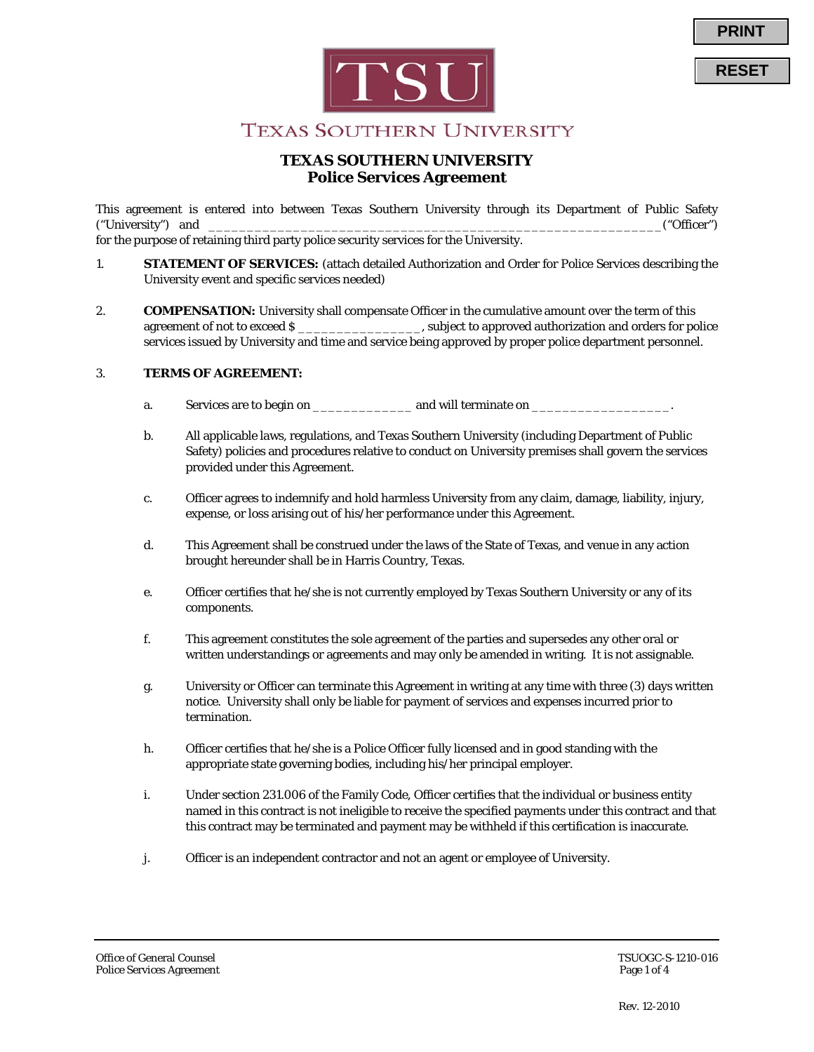

**RESET**

# **TEXAS SOUTHERN UNIVERSITY**

## **TEXAS SOUTHERN UNIVERSITY Police Services Agreement**

This agreement is entered into between Texas Southern University through its Department of Public Safety ("University") and \_\_\_\_\_\_\_\_\_\_\_\_\_\_\_\_\_\_\_\_\_\_\_\_\_\_\_\_\_\_\_\_\_\_\_\_\_\_\_\_\_\_\_\_\_\_\_\_\_\_\_\_\_\_\_\_\_\_\_("Officer")

for the purpose of retaining third party police security services for the University.

- 1. **STATEMENT OF SERVICES:** (attach detailed Authorization and Order for Police Services describing the University event and specific services needed)
- 2. **COMPENSATION:** University shall compensate Officer in the cumulative amount over the term of this agreement of not to exceed \$ \_\_\_\_\_\_\_\_\_\_\_\_\_\_\_\_, subject to approved authorization and orders for police services issued by University and time and service being approved by proper police department personnel.

### 3. **TERMS OF AGREEMENT:**

- a. Services are to begin on the same and will terminate on  $\alpha$
- b. All applicable laws, regulations, and Texas Southern University (including Department of Public Safety) policies and procedures relative to conduct on University premises shall govern the services provided under this Agreement.
- c. Officer agrees to indemnify and hold harmless University from any claim, damage, liability, injury, expense, or loss arising out of his/her performance under this Agreement.
- d. This Agreement shall be construed under the laws of the State of Texas, and venue in any action brought hereunder shall be in Harris Country, Texas.
- e. Officer certifies that he/she is not currently employed by Texas Southern University or any of its components.
- f. This agreement constitutes the sole agreement of the parties and supersedes any other oral or written understandings or agreements and may only be amended in writing. It is not assignable.
- g. University or Officer can terminate this Agreement in writing at any time with three (3) days written notice. University shall only be liable for payment of services and expenses incurred prior to termination.
- h. Officer certifies that he/she is a Police Officer fully licensed and in good standing with the appropriate state governing bodies, including his/her principal employer.
- i. Under section 231.006 of the Family Code, Officer certifies that the individual or business entity named in this contract is not ineligible to receive the specified payments under this contract and that this contract may be terminated and payment may be withheld if this certification is inaccurate.
- j. Officer is an independent contractor and not an agent or employee of University.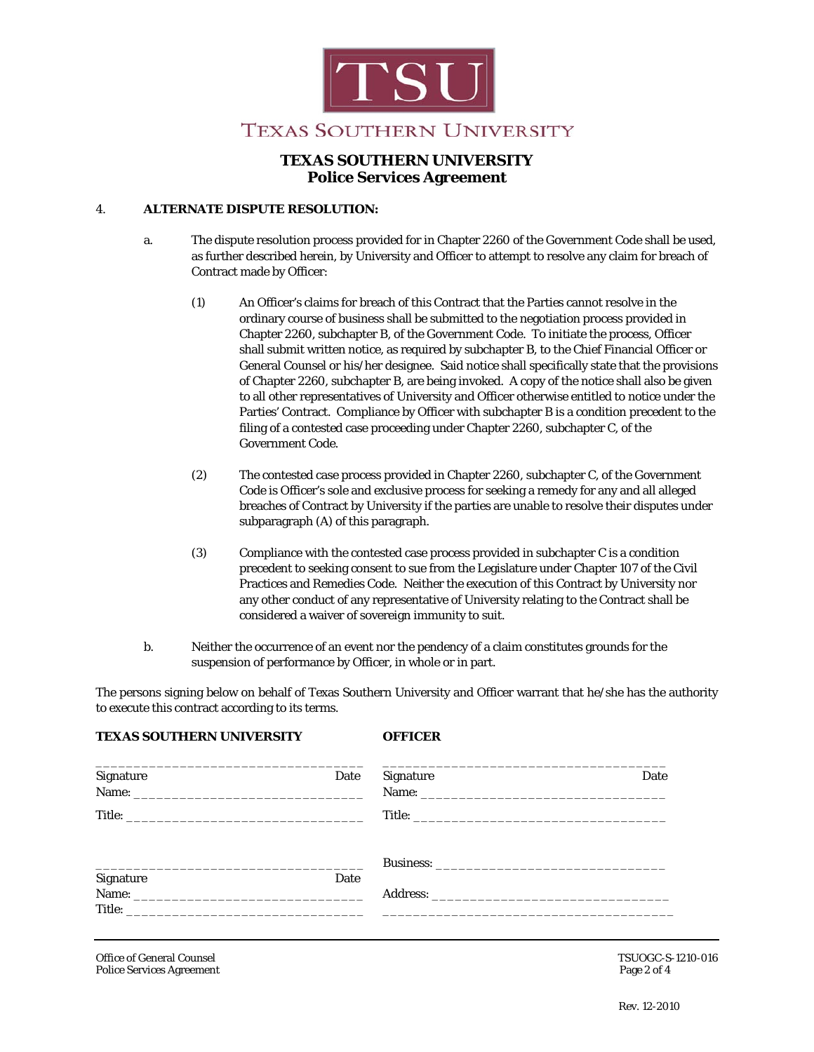

# **TEXAS SOUTHERN UNIVERSITY Police Services Agreement**

#### 4. **ALTERNATE DISPUTE RESOLUTION:**

**TEXAS SOUTHERN UNIVERSITY OFFICER**

- a. The dispute resolution process provided for in Chapter 2260 of the Government Code shall be used, as further described herein, by University and Officer to attempt to resolve any claim for breach of Contract made by Officer:
	- (1) An Officer's claims for breach of this Contract that the Parties cannot resolve in the ordinary course of business shall be submitted to the negotiation process provided in Chapter 2260, subchapter B, of the Government Code. To initiate the process, Officer shall submit written notice, as required by subchapter B, to the Chief Financial Officer or General Counsel or his/her designee. Said notice shall specifically state that the provisions of Chapter 2260, subchapter B, are being invoked. A copy of the notice shall also be given to all other representatives of University and Officer otherwise entitled to notice under the Parties' Contract. Compliance by Officer with subchapter B is a condition precedent to the filing of a contested case proceeding under Chapter 2260, subchapter C, of the Government Code.
	- (2) The contested case process provided in Chapter 2260, subchapter C, of the Government Code is Officer's sole and exclusive process for seeking a remedy for any and all alleged breaches of Contract by University if the parties are unable to resolve their disputes under subparagraph (A) of this paragraph.
	- (3) Compliance with the contested case process provided in subchapter C is a condition precedent to seeking consent to sue from the Legislature under Chapter 107 of the Civil Practices and Remedies Code. Neither the execution of this Contract by University nor any other conduct of any representative of University relating to the Contract shall be considered a waiver of sovereign immunity to suit.
- b. Neither the occurrence of an event nor the pendency of a claim constitutes grounds for the suspension of performance by Officer, in whole or in part.

The persons signing below on behalf of Texas Southern University and Officer warrant that he/she has the authority to execute this contract according to its terms.

| Signature | Date | Signature | Date |
|-----------|------|-----------|------|
|           |      |           |      |
|           |      |           |      |
|           |      |           |      |
| Signature | Date |           |      |
|           |      |           |      |
|           |      |           |      |

Office of General Counsel **TSUOGC-S-1210-016** Police Services Agreement **Page 2 of 4**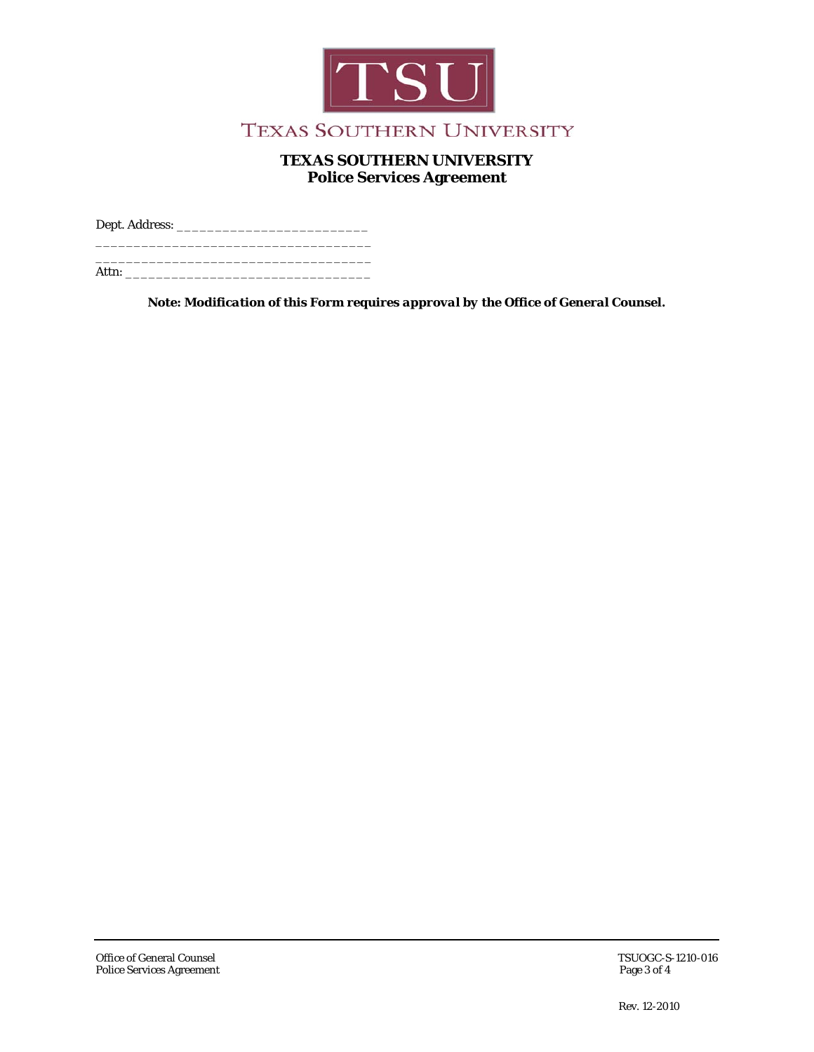

# **TEXAS SOUTHERN UNIVERSITY Police Services Agreement**

Dept. Address: \_\_\_\_\_\_\_\_\_\_\_\_\_\_\_\_\_\_\_\_\_\_\_\_\_ \_\_\_\_\_\_\_\_\_\_\_\_\_\_\_\_\_\_\_\_\_\_\_\_\_\_\_\_\_\_\_\_\_\_\_\_

\_\_\_\_\_\_\_\_\_\_\_\_\_\_\_\_\_\_\_\_\_\_\_\_\_\_\_\_\_\_\_\_\_\_\_\_ Attn:

*Note: Modification of this Form requires approval by the Office of General Counsel.*